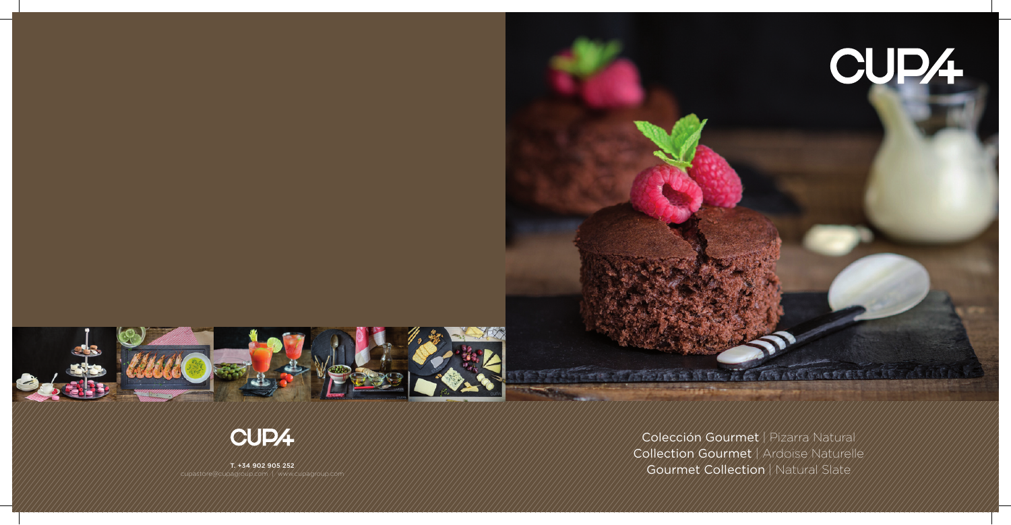# CUP4

Colección Gourmet | Pizarra Natural Collection Gourmet / Ardoise Naturelle Gourmet Collection / Natural Slate

THE REAL PROPERTY OF REAL PROPERTY.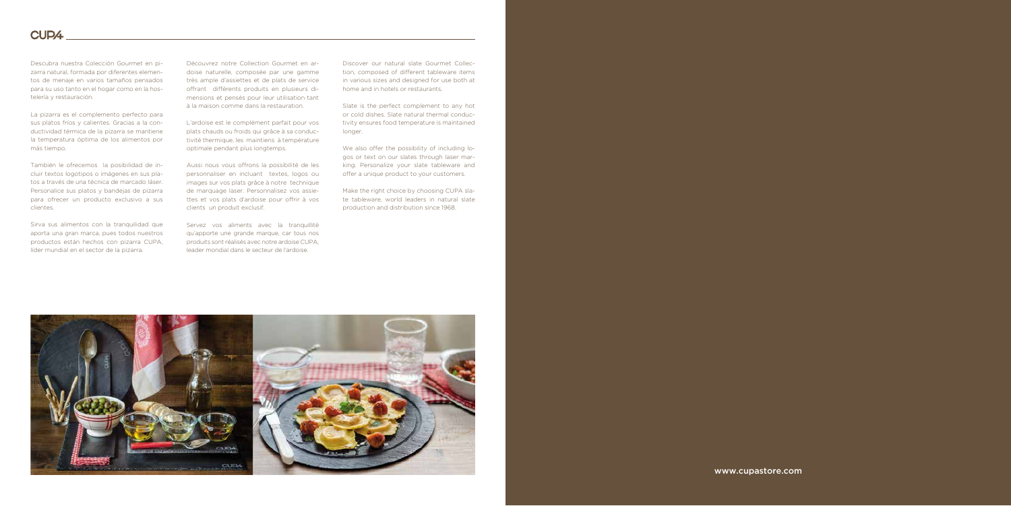Descubra nuestra Colección Gourmet en pizarra natural, formada por diferentes elementos de menaje en varios tamaños pensados para su uso tanto en el hogar como en la hostelería y restauración.

La pizarra es el complemento perfecto para sus platos fríos y calientes. Gracias a la conductividad térmica de la pizarra se mantiene la temperatura óptima de los alimentos por más tiempo.

También le ofrecemos la posibilidad de incluir textos logotipos o imágenes en sus platos a través de una técnica de marcado láser. Personalice sus platos y bandejas de pizarra para ofrecer un producto exclusivo a sus clientes.

Sirva sus alimentos con la tranquilidad que aporta una gran marca, pues todos nuestros productos están hechos con pizarra CUPA, líder mundial en el sector de la pizarra.

Découvrez notre Collection Gourmet en ardoise naturelle, composée par une gamme très ample d'assiettes et de plats de service offrant différents produits en plusieurs dimensions et pensés pour leur utilisation tant à la maison comme dans la restauration.

L'ardoise est le complément parfait pour vos plats chauds ou froids qui grâce à sa conductivité thermique, les maintiens à température optimale pendant plus longtemps.

Aussi nous vous offrons la possibilité de les personnaliser en incluant textes, logos ou images sur vos plats grâce à notre technique de marquage laser. Personnalisez vos assiettes et vos plats d'ardoise pour offrir à vos clients un produit exclusif.

Servez vos aliments avec la tranquillité qu'apporte une grande marque, car tous nos produits sont réalisés avec notre ardoise CUPA, leader mondial dans le secteur de l'ardoise.

Discover our natural slate Gourmet Collection, composed of different tableware items in various sizes and designed for use both at home and in hotels or restaurants.

Slate is the perfect complement to any hot or cold dishes. Slate natural thermal conductivity ensures food temperature is maintained longer.

We also offer the possibility of including logos or text on our slates through laser marking. Personalize your slate tableware and offer a unique product to your customers.

Make the right choice by choosing CUPA slate tableware, world leaders in natural slate production and distribution since 1968.

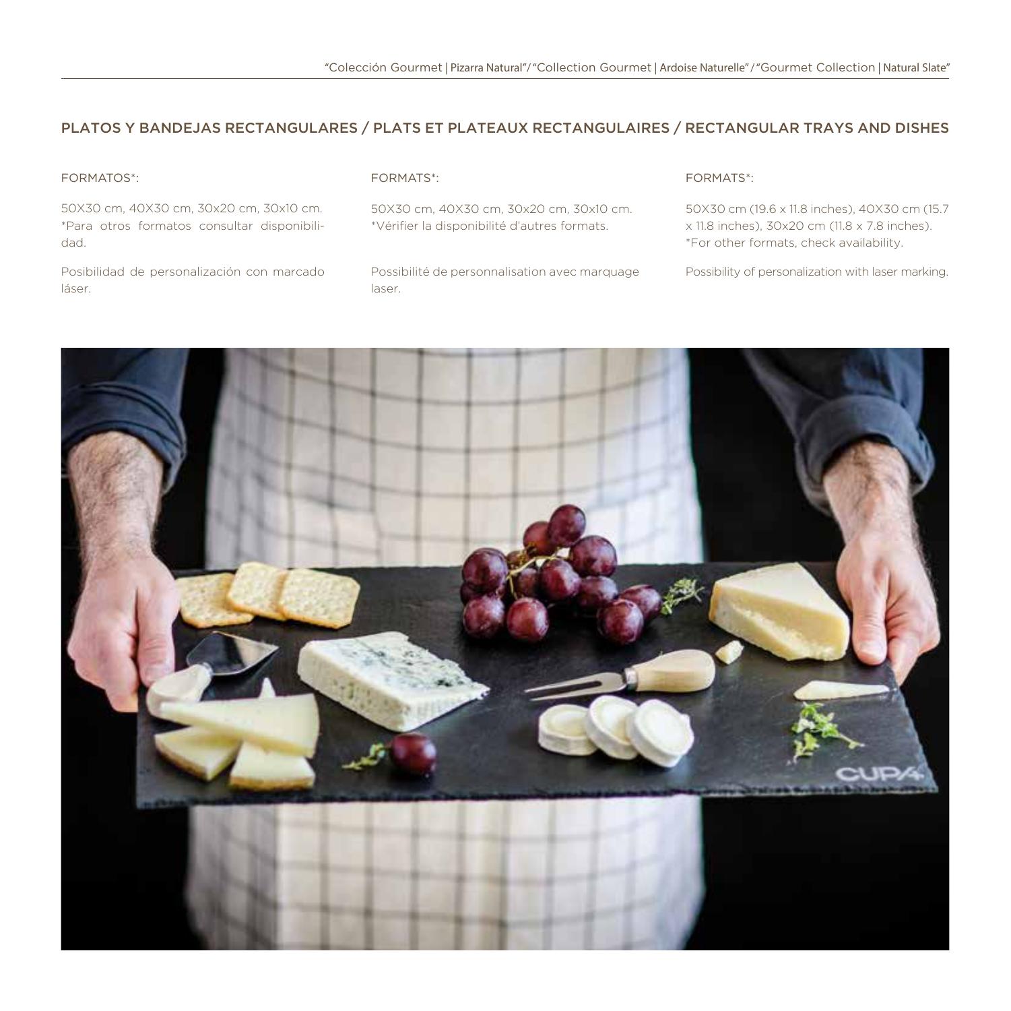#### PLATOS Y BANDEJAS RECTANGULARES / PLATS ET PLATEAUX RECTANGULAIRES / RECTANGULAR TRAYS AND DISHES

#### FORMATOS\*:

50X30 cm, 40X30 cm, 30x20 cm, 30x10 cm. \*Para otros formatos consultar disponibilidad.

Posibilidad de personalización con marcado láser.

#### FORMATS\*:

50X30 cm, 40X30 cm, 30x20 cm, 30x10 cm. \*Vérifier la disponibilité d'autres formats.

Possibilité de personnalisation avec marquage laser.

#### FORMATS\*:

50X30 cm (19.6 x 11.8 inches), 40X30 cm (15.7 x 11.8 inches), 30x20 cm (11.8 x 7.8 inches). \*For other formats, check availability.

Possibility of personalization with laser marking.

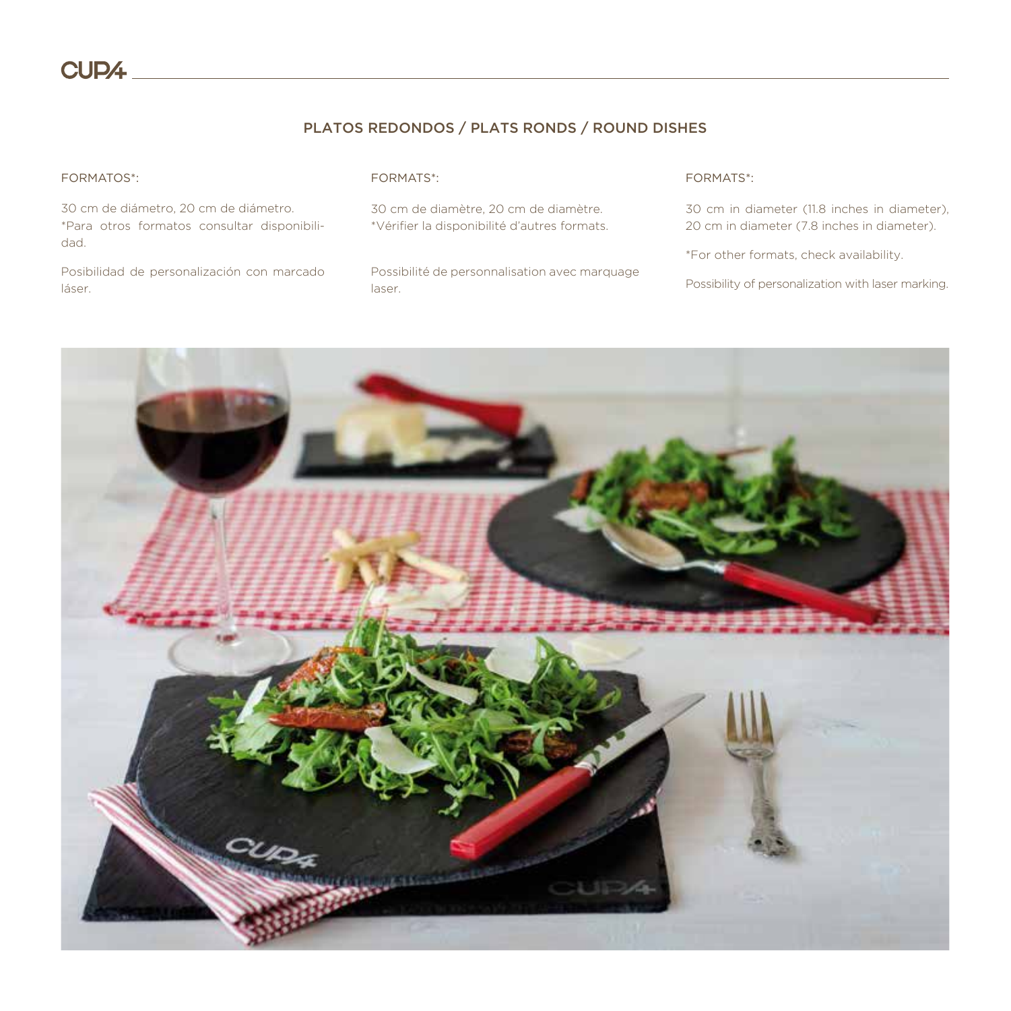#### PLATOS REDONDOS / PLATS RONDS / ROUND DISHES

#### FORMATOS\*:

30 cm de diámetro, 20 cm de diámetro. \*Para otros formatos consultar disponibilidad.

Posibilidad de personalización con marcado láser.

#### FORMATS\*:

30 cm de diamètre, 20 cm de diamètre. \*Vérifier la disponibilité d'autres formats.

Possibilité de personnalisation avec marquage laser.

#### FORMATS\*:

30 cm in diameter (11.8 inches in diameter), 20 cm in diameter (7.8 inches in diameter).

\*For other formats, check availability.

Possibility of personalization with laser marking.

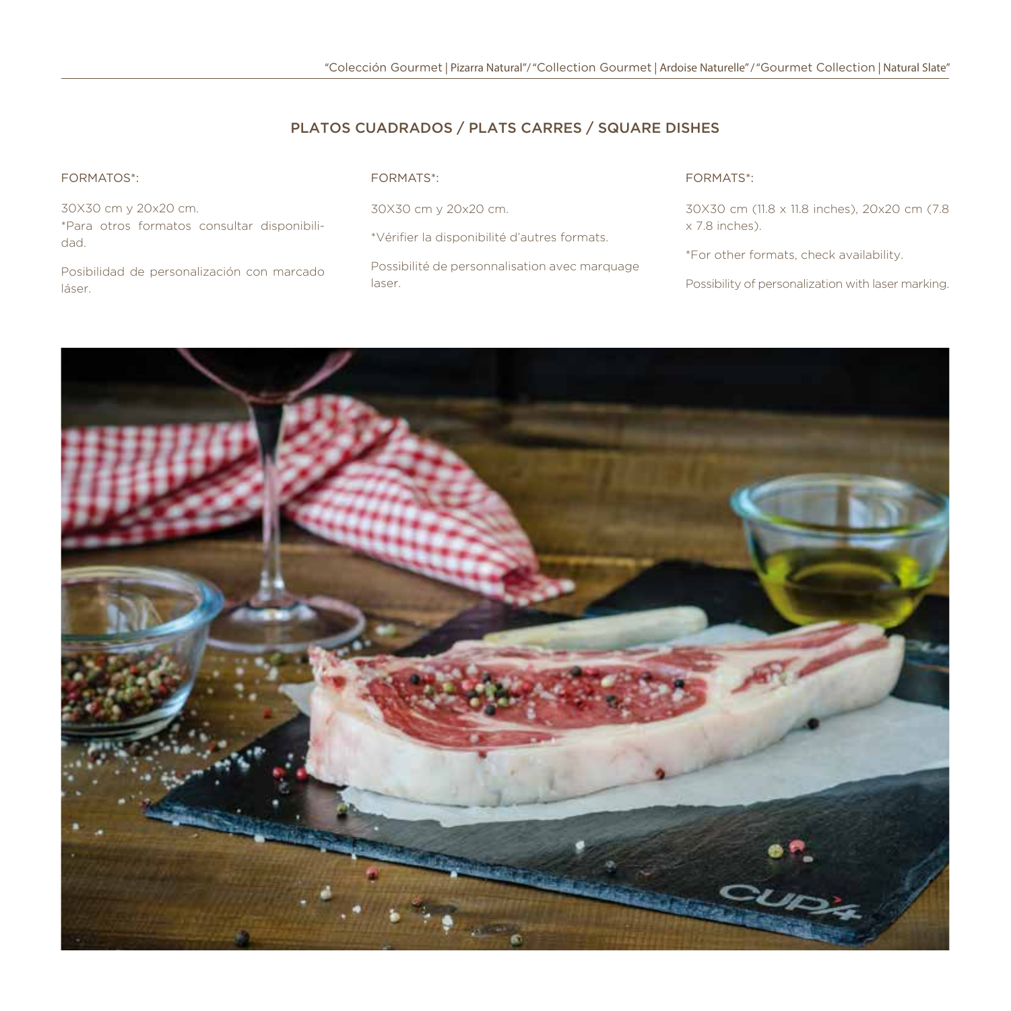#### PLATOS CUADRADOS / PLATS CARRES / SQUARE DISHES

#### FORMATOS\*:

30X30 cm y 20x20 cm. \*Para otros formatos consultar disponibilidad.

Posibilidad de personalización con marcado láser.

#### FORMATS\*:

30X30 cm y 20x20 cm.

\*Vérifier la disponibilité d'autres formats.

Possibilité de personnalisation avec marquage laser.

#### FORMATS\*:

30X30 cm (11.8 x 11.8 inches), 20x20 cm (7.8 x 7.8 inches).

\*For other formats, check availability.

Possibility of personalization with laser marking.

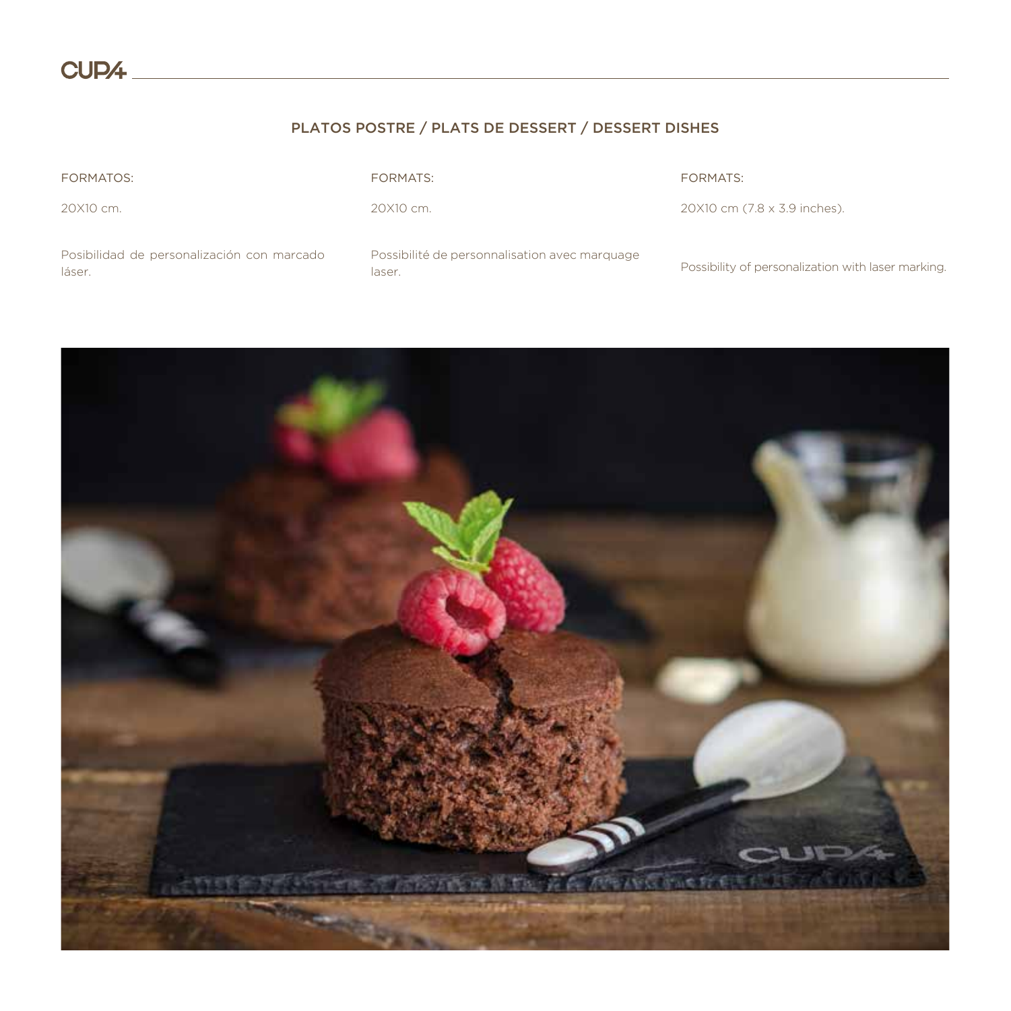# PLATOS POSTRE / PLATS DE DESSERT / DESSERT DISHES

| <b>FORMATOS:</b>                                     | <b>FORMATS:</b>                                         | <b>FORMATS:</b>                                   |
|------------------------------------------------------|---------------------------------------------------------|---------------------------------------------------|
| 20X10 cm.                                            | 20X10 cm.                                               | 20X10 cm (7.8 x 3.9 inches).                      |
| Posibilidad de personalización con marcado<br>láser. | Possibilité de personnalisation avec marquage<br>laser. | Possibility of personalization with laser marking |

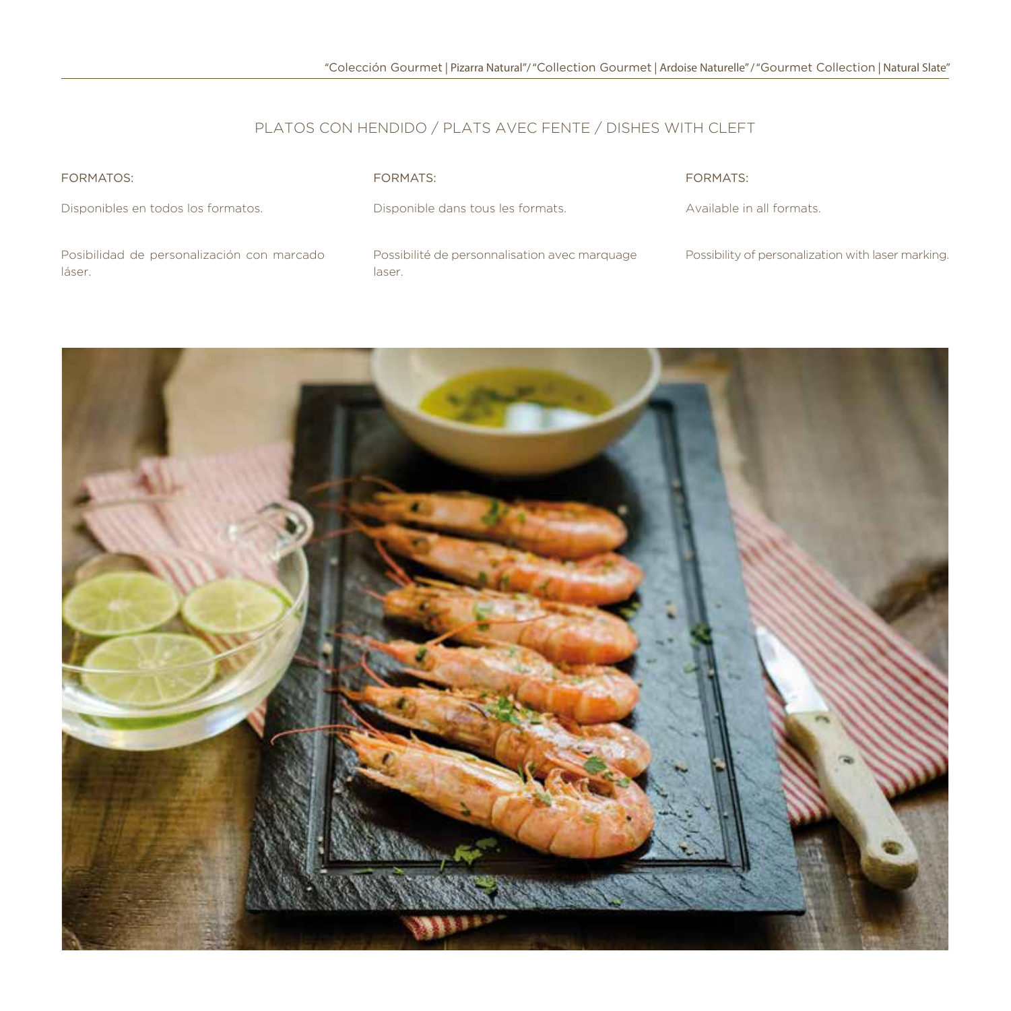# PLATOS CON HENDIDO / PLATS AVEC FENTE / DISHES WITH CLEFT

| FORMATOS:                                            | FORMATS:                                                | FORMATS:                                           |
|------------------------------------------------------|---------------------------------------------------------|----------------------------------------------------|
| Disponibles en todos los formatos.                   | Disponible dans tous les formats.                       | Available in all formats.                          |
| Posibilidad de personalización con marcado<br>láser. | Possibilité de personnalisation avec marquage<br>laser. | Possibility of personalization with laser marking. |

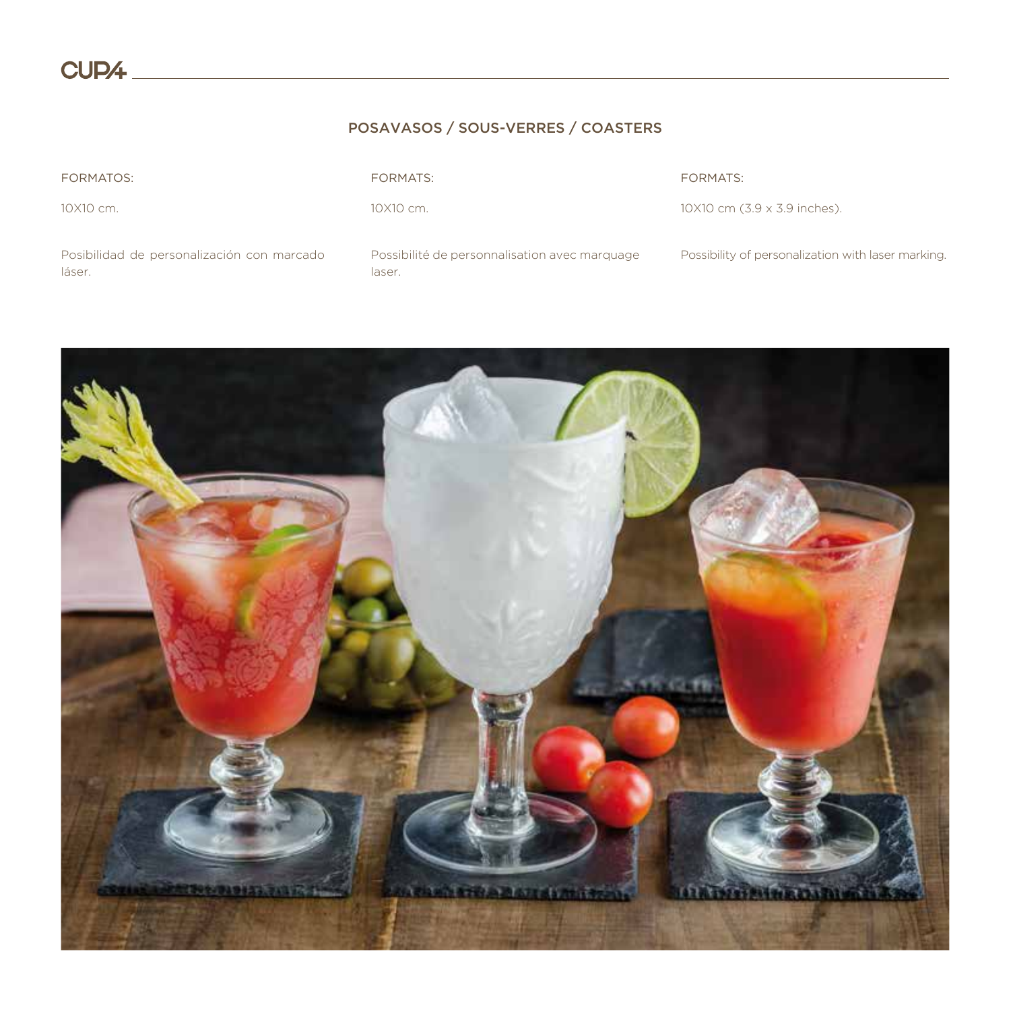# POSAVASOS / SOUS-VERRES / COASTERS

| <b>FORMATOS:</b>                                     | <b>FORMATS:</b>                                         | FORMATS:                                           |
|------------------------------------------------------|---------------------------------------------------------|----------------------------------------------------|
| 10X10 cm.                                            | 10X10 cm.                                               | 10X10 cm (3.9 x 3.9 inches).                       |
| Posibilidad de personalización con marcado<br>láser. | Possibilité de personnalisation avec marquage<br>laser. | Possibility of personalization with laser marking. |

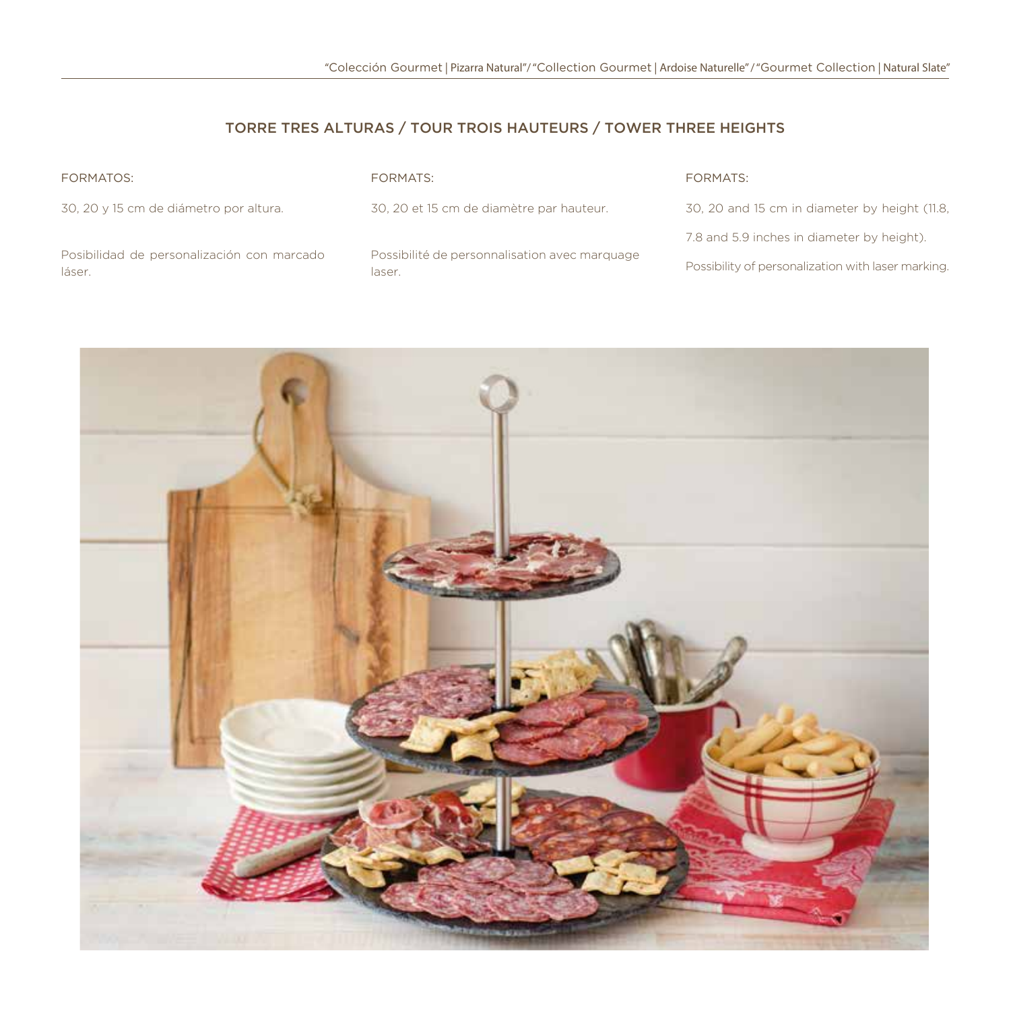# TORRE TRES ALTURAS / TOUR TROIS HAUTEURS / TOWER THREE HEIGHTS

| <b>FORMATOS:</b>                                     | FORMATS:                                                | FORMATS:                                           |
|------------------------------------------------------|---------------------------------------------------------|----------------------------------------------------|
| 30, 20 y 15 cm de diámetro por altura.               | 30, 20 et 15 cm de diamètre par hauteur.                | 30, 20 and 15 cm in diameter by height (11.8,      |
|                                                      |                                                         | 7.8 and 5.9 inches in diameter by height).         |
| Posibilidad de personalización con marcado<br>láser. | Possibilité de personnalisation avec marquage<br>laser. | Possibility of personalization with laser marking. |

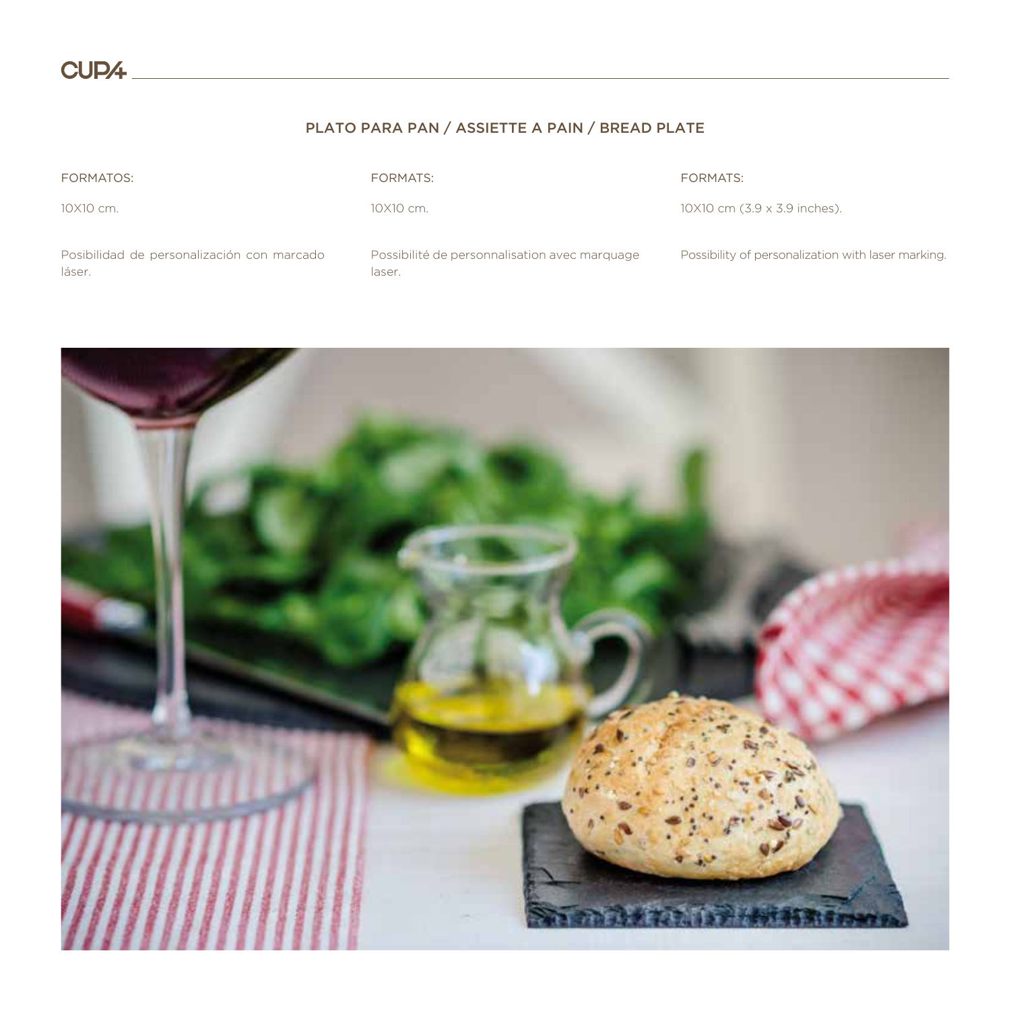# PLATO PARA PAN / ASSIETTE A PAIN / BREAD PLATE

| <b>FORMATOS:</b>                                     | <b>FORMATS:</b>                                         | <b>FORMATS:</b>                                    |
|------------------------------------------------------|---------------------------------------------------------|----------------------------------------------------|
| 10X10 cm.                                            | 10X10 cm.                                               | 10X10 cm (3.9 x 3.9 inches).                       |
| Posibilidad de personalización con marcado<br>láser. | Possibilité de personnalisation avec marquage<br>laser. | Possibility of personalization with laser marking. |